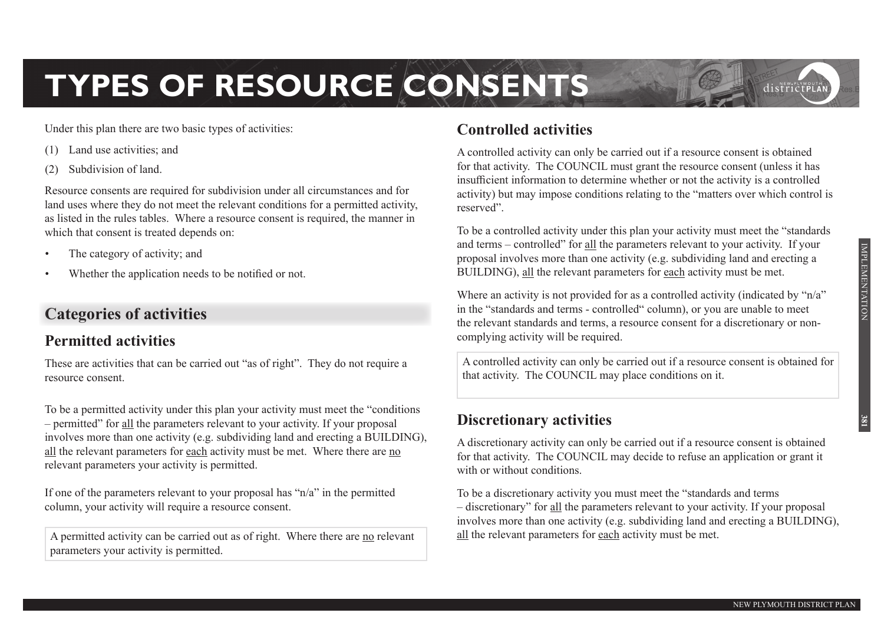# **TYPES OF RESOURCE CONSENTS**

Under this plan there are two basic types of activities:

- (1) Land use activities; and
- Subdivision of land.

Resource consents are required for subdivision under all circumstances and for land uses where they do not meet the relevant conditions for a permitted activity, as listed in the rules tables. Where a resource consent is required, the manner in which that consent is treated depends on:

- The category of activity; and
- Whether the application needs to be notified or not.

# **Categories of activities**

# **Permitted activities**

These are activities that can be carried out "as of right". They do not require a resource consent.

To be a permitted activity under this plan your activity must meet the "conditions – permitted" for all the parameters relevant to your activity. If your proposal involves more than one activity (e.g. subdividing land and erecting a BUILDING), all the relevant parameters for each activity must be met. Where there are no relevant parameters your activity is permitted.

If one of the parameters relevant to your proposal has "n/a" in the permitted column, your activity will require a resource consent.

A permitted activity can be carried out as of right. Where there are no relevant parameters your activity is permitted.

# **Controlled activities**

A controlled activity can only be carried out if a resource consent is obtained for that activity. The COUNCIL must grant the resource consent (unless it has insufficient information to determine whether or not the activity is a controlled activity) but may impose conditions relating to the "matters over which control is reserved".

To be a controlled activity under this plan your activity must meet the "standards and terms – controlled" for all the parameters relevant to your activity. If your proposal involves more than one activity (e.g. subdividing land and erecting a BUILDING), all the relevant parameters for each activity must be met.

Where an activity is not provided for as a controlled activity (indicated by "n/a" in the "standards and terms - controlled" column), or you are unable to meet the relevant standards and terms, a resource consent for a discretionary or noncomplying activity will be required.

A controlled activity can only be carried out if a resource consent is obtained for that activity. The COUNCIL may place conditions on it.

# **Discretionary activities**

A discretionary activity can only be carried out if a resource consent is obtained for that activity. The COUNCIL may decide to refuse an application or grant it with or without conditions.

To be a discretionary activity you must meet the "standards and terms – discretionary" for all the parameters relevant to your activity. If your proposal involves more than one activity (e.g. subdividing land and erecting a BUILDING), all the relevant parameters for each activity must be met.

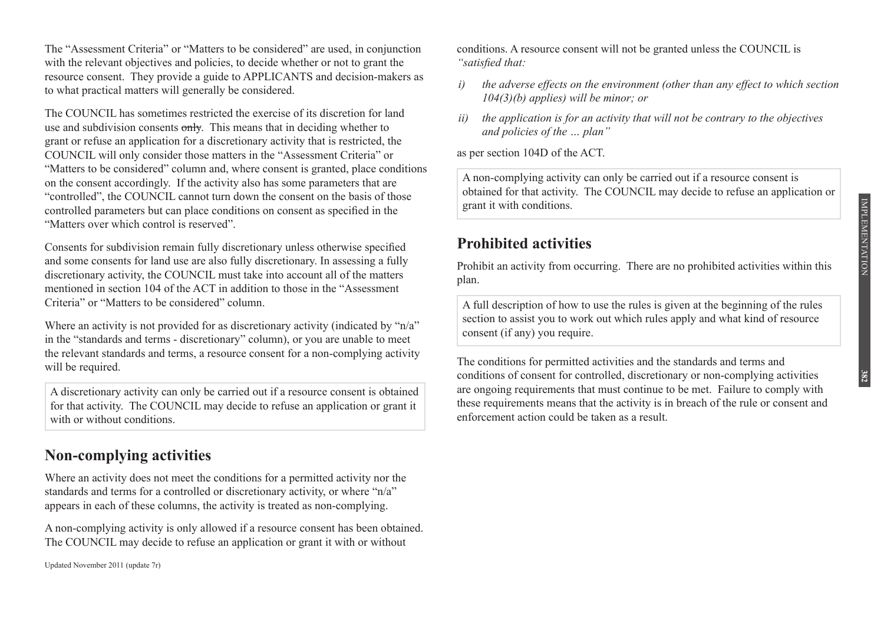IMPLEMENTATION IMPLEMENTATION

**382**

The "Assessment Criteria" or "Matters to be considered" are used, in conjunction with the relevant objectives and policies, to decide whether or not to grant the resource consent. They provide a guide to APPLICANTS and decision-makers as to what practical matters will generally be considered.

The COUNCIL has sometimes restricted the exercise of its discretion for land use and subdivision consents only. This means that in deciding whether to grant or refuse an application for a discretionary activity that is restricted, the COUNCIL will only consider those matters in the "Assessment Criteria" or "Matters to be considered" column and, where consent is granted, place conditions on the consent accordingly. If the activity also has some parameters that are "controlled", the COUNCIL cannot turn down the consent on the basis of those controlled parameters but can place conditions on consent as specified in the "Matters over which control is reserved".

Consents for subdivision remain fully discretionary unless otherwise specified and some consents for land use are also fully discretionary. In assessing a fully discretionary activity, the COUNCIL must take into account all of the matters mentioned in section 104 of the ACT in addition to those in the "Assessment Criteria" or "Matters to be considered" column.

Where an activity is not provided for as discretionary activity (indicated by "n/a" in the "standards and terms - discretionary" column), or you are unable to meet the relevant standards and terms, a resource consent for a non-complying activity will be required.

A discretionary activity can only be carried out if a resource consent is obtained for that activity. The COUNCIL may decide to refuse an application or grant it with or without conditions.

## **Non-complying activities**

Where an activity does not meet the conditions for a permitted activity nor the standards and terms for a controlled or discretionary activity, or where "n/a" appears in each of these columns, the activity is treated as non-complying.

A non-complying activity is only allowed if a resource consent has been obtained. The COUNCIL may decide to refuse an application or grant it with or without

Updated November 2011 (update 7r)

conditions. A resource consent will not be granted unless the COUNCIL is *"satisfied that:*

- *i) the adverse effects on the environment (other than any effect to which section 104(3)(b) applies) will be minor; or*
- *ii) the application is for an activity that will not be contrary to the objectives and policies of the … plan"*

as per section 104D of the ACT.

A non-complying activity can only be carried out if a resource consent is obtained for that activity. The COUNCIL may decide to refuse an application or grant it with conditions.

# **Prohibited activities**

Prohibit an activity from occurring. There are no prohibited activities within this plan.

A full description of how to use the rules is given at the beginning of the rules section to assist you to work out which rules apply and what kind of resource consent (if any) you require.

The conditions for permitted activities and the standards and terms and conditions of consent for controlled, discretionary or non-complying activities are ongoing requirements that must continue to be met. Failure to comply with these requirements means that the activity is in breach of the rule or consent and enforcement action could be taken as a result.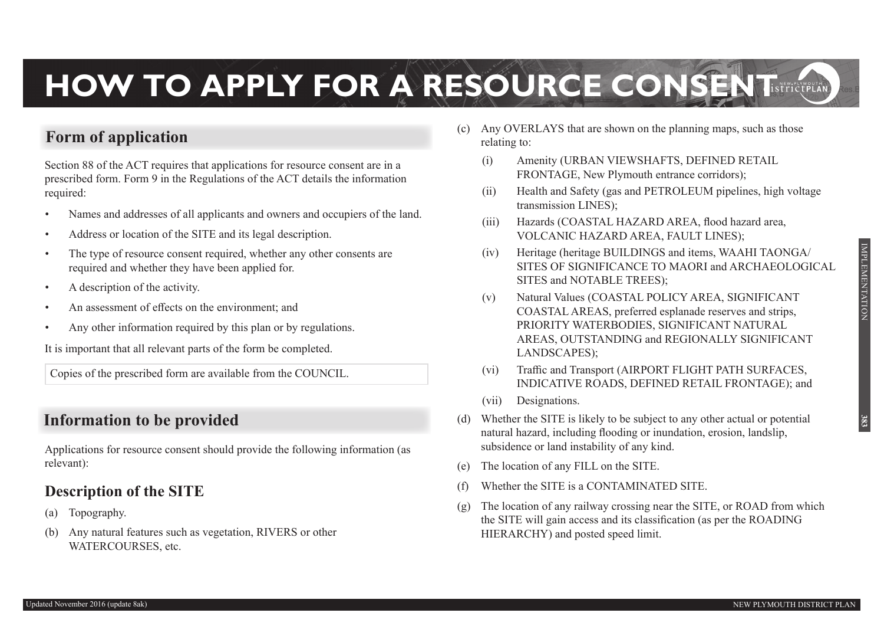# **HOW TO APPLY FOR A RESOURCE CONSENT**

# **Form of application**

Section 88 of the ACT requires that applications for resource consent are in a prescribed form. Form 9 in the Regulations of the ACT details the information required:

- Names and addresses of all applicants and owners and occupiers of the land.
- Address or location of the SITE and its legal description.
- The type of resource consent required, whether any other consents are required and whether they have been applied for.
- A description of the activity.
- An assessment of effects on the environment; and
- Any other information required by this plan or by regulations.

It is important that all relevant parts of the form be completed.

Copies of the prescribed form are available from the COUNCIL.

# **Information to be provided**

Applications for resource consent should provide the following information (as relevant):

## **Description of the SITE**

- (a) Topography.
- (b) Any natural features such as vegetation, RIVERS or other WATERCOURSES, etc.
- (c) Any OVERLAYS that are shown on the planning maps, such as those relating to:
	- (i) Amenity (URBAN VIEWSHAFTS, DEFINED RETAIL FRONTAGE, New Plymouth entrance corridors);
	- (ii) Health and Safety (gas and PETROLEUM pipelines, high voltage transmission LINES);
	- (iii) Hazards (COASTAL HAZARD AREA, flood hazard area, VOLCANIC HAZARD AREA, FAULT LINES);
	- (iv) Heritage (heritage BUILDINGS and items, WAAHI TAONGA/ SITES OF SIGNIFICANCE TO MAORI and ARCHAEOLOGICAL SITES and NOTABLE TREES);
	- (v) Natural Values (COASTAL POLICY AREA, SIGNIFICANT COASTAL AREAS, preferred esplanade reserves and strips, PRIORITY WATERBODIES, SIGNIFICANT NATURAL AREAS, OUTSTANDING and REGIONALLY SIGNIFICANT LANDSCAPES);
	- (vi) Traffic and Transport (AIRPORT FLIGHT PATH SURFACES, INDICATIVE ROADS, DEFINED RETAIL FRONTAGE); and
	- (vii) Designations.
- (d) Whether the SITE is likely to be subject to any other actual or potential natural hazard, including flooding or inundation, erosion, landslip, subsidence or land instability of any kind.
- (e) The location of any FILL on the SITE.
- (f) Whether the SITE is a CONTAMINATED SITE.
- $(g)$  The location of any railway crossing near the SITE, or ROAD from which the SITE will gain access and its classification (as per the ROADING HIERARCHY) and posted speed limit.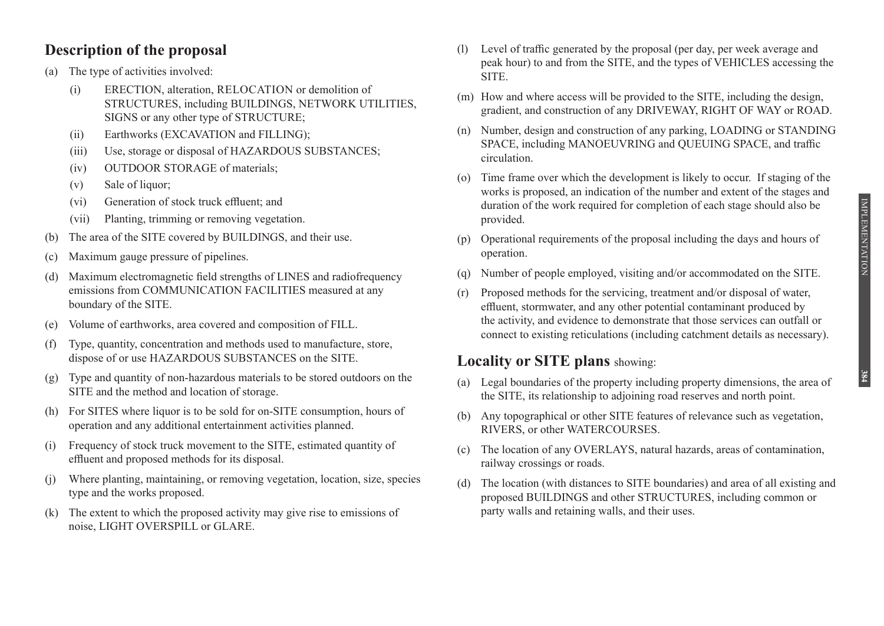## **Description of the proposal**

- (a) The type of activities involved:
	- (i) ERECTION, alteration, RELOCATION or demolition of STRUCTURES, including BUILDINGS, NETWORK UTILITIES, SIGNS or any other type of STRUCTURE;
	- (ii) Earthworks (EXCAVATION and FILLING):
	- (iii) Use, storage or disposal of HAZARDOUS SUBSTANCES;
	- (iv) OUTDOOR STORAGE of materials;
	- (v) Sale of liquor;
	- (vi) Generation of stock truck effluent; and
	- (vii) Planting, trimming or removing vegetation.
- The area of the SITE covered by BUILDINGS, and their use.
- (c) Maximum gauge pressure of pipelines.
- (d) Maximum electromagnetic field strengths of LINES and radiofrequency emissions from COMMUNICATION FACILITIES measured at any boundary of the SITE.
- (e) Volume of earthworks, area covered and composition of FILL.
- (f) Type, quantity, concentration and methods used to manufacture, store, dispose of or use HAZARDOUS SUBSTANCES on the SITE.
- (g) Type and quantity of non-hazardous materials to be stored outdoors on the SITE and the method and location of storage.
- (h) For SITES where liquor is to be sold for on-SITE consumption, hours of operation and any additional entertainment activities planned.
- (i) Frequency of stock truck movement to the SITE, estimated quantity of effluent and proposed methods for its disposal.
- (j) Where planting, maintaining, or removing vegetation, location, size, species type and the works proposed.
- (k) The extent to which the proposed activity may give rise to emissions of noise, LIGHT OVERSPILL or GLARE.
- (l) Level of traffic generated by the proposal (per day, per week average and peak hour) to and from the SITE, and the types of VEHICLES accessing the SITE.
- (m) How and where access will be provided to the SITE, including the design, gradient, and construction of any DRIVEWAY, RIGHT OF WAY or ROAD.
- (n) Number, design and construction of any parking, LOADING or STANDING SPACE, including MANOEUVRING and QUEUING SPACE, and traffic circulation.
- (o) Time frame over which the development is likely to occur. If staging of the works is proposed, an indication of the number and extent of the stages and duration of the work required for completion of each stage should also be provided.
- (p) Operational requirements of the proposal including the days and hours of operation.
- (q) Number of people employed, visiting and/or accommodated on the SITE.
- (r) Proposed methods for the servicing, treatment and/or disposal of water, effluent, stormwater, and any other potential contaminant produced by the activity, and evidence to demonstrate that those services can outfall or connect to existing reticulations (including catchment details as necessary).

# **Locality or SITE plans** showing:

- (a) Legal boundaries of the property including property dimensions, the area of the SITE, its relationship to adjoining road reserves and north point.
- (b) Any topographical or other SITE features of relevance such as vegetation, RIVERS, or other WATERCOURSES.
- (c) The location of any OVERLAYS, natural hazards, areas of contamination, railway crossings or roads.
- (d) The location (with distances to SITE boundaries) and area of all existing and proposed BUILDINGS and other STRUCTURES, including common or party walls and retaining walls, and their uses.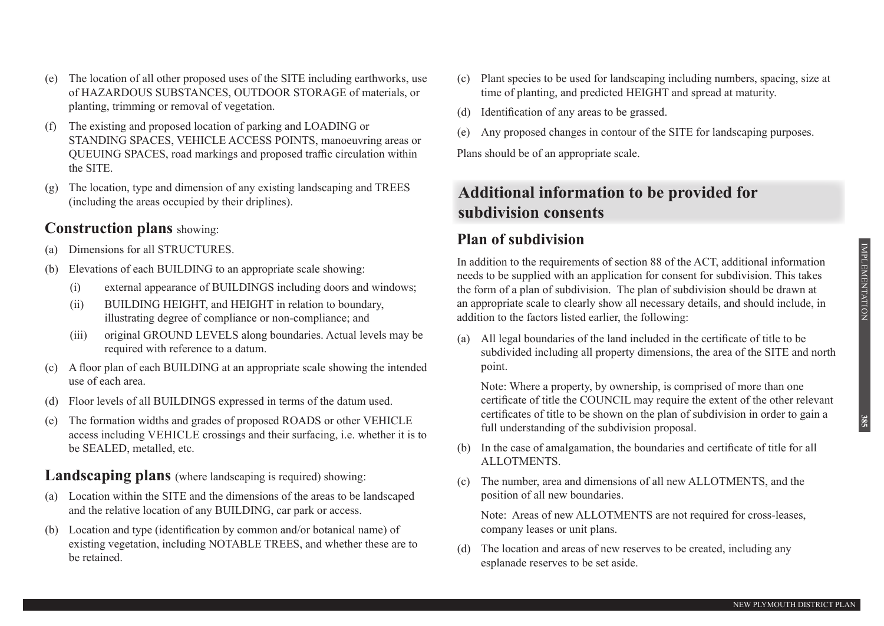**385**

- (e) The location of all other proposed uses of the SITE including earthworks, use of HAZARDOUS SUBSTANCES, OUTDOOR STORAGE of materials, or planting, trimming or removal of vegetation.
- (f) The existing and proposed location of parking and LOADING or STANDING SPACES, VEHICLE ACCESS POINTS, manoeuvring areas or QUEUING SPACES, road markings and proposed traffic circulation within the SITE.
- (g) The location, type and dimension of any existing landscaping and TREES (including the areas occupied by their driplines).

### **Construction plans** showing:

- (a) Dimensions for all STRUCTURES.
- Elevations of each BUILDING to an appropriate scale showing:
	- (i) external appearance of BUILDINGS including doors and windows;
	- (ii) BUILDING HEIGHT, and HEIGHT in relation to boundary, illustrating degree of compliance or non-compliance; and
	- (iii) original GROUND LEVELS along boundaries. Actual levels may be required with reference to a datum.
- (c) A floor plan of each BUILDING at an appropriate scale showing the intended use of each area.
- (d) Floor levels of all BUILDINGS expressed in terms of the datum used.
- (e) The formation widths and grades of proposed ROADS or other VEHICLE access including VEHICLE crossings and their surfacing, i.e. whether it is to be SEALED, metalled, etc.

## **Landscaping plans** (where landscaping is required) showing:

- (a) Location within the SITE and the dimensions of the areas to be landscaped and the relative location of any BUILDING, car park or access.
- (b) Location and type (identification by common and/or botanical name) of existing vegetation, including NOTABLE TREES, and whether these are to be retained.
- (c) Plant species to be used for landscaping including numbers, spacing, size at time of planting, and predicted HEIGHT and spread at maturity.
- (d) Identification of any areas to be grassed.
- (e) Any proposed changes in contour of the SITE for landscaping purposes.

Plans should be of an appropriate scale.

# **Additional information to be provided for subdivision consents**

# **Plan of subdivision**

In addition to the requirements of section 88 of the ACT, additional information needs to be supplied with an application for consent for subdivision. This takes the form of a plan of subdivision. The plan of subdivision should be drawn at an appropriate scale to clearly show all necessary details, and should include, in addition to the factors listed earlier, the following:

(a) All legal boundaries of the land included in the certificate of title to be subdivided including all property dimensions, the area of the SITE and north point.

Note: Where a property, by ownership, is comprised of more than one certificate of title the COUNCIL may require the extent of the other relevant certificates of title to be shown on the plan of subdivision in order to gain a full understanding of the subdivision proposal.

- (b) In the case of amalgamation, the boundaries and certificate of title for all ALLOTMENTS.
- (c) The number, area and dimensions of all new ALLOTMENTS, and the position of all new boundaries.

Note: Areas of new ALLOTMENTS are not required for cross-leases, company leases or unit plans.

(d) The location and areas of new reserves to be created, including any esplanade reserves to be set aside.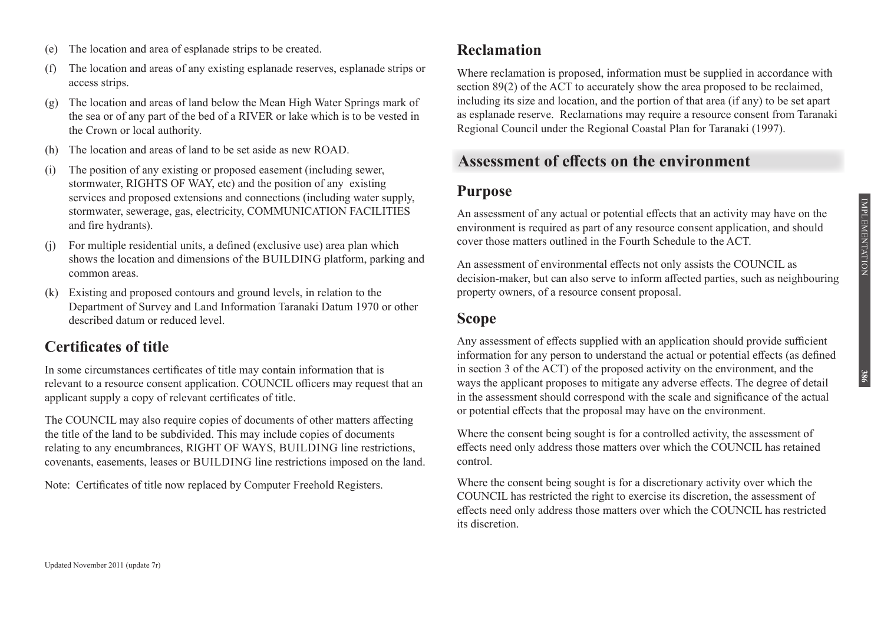- (e) The location and area of esplanade strips to be created.
- (f) The location and areas of any existing esplanade reserves, esplanade strips or access strips.
- (g) The location and areas of land below the Mean High Water Springs mark of the sea or of any part of the bed of a RIVER or lake which is to be vested in the Crown or local authority.
- (h) The location and areas of land to be set aside as new ROAD.
- (i) The position of any existing or proposed easement (including sewer, stormwater, RIGHTS OF WAY, etc) and the position of any existing services and proposed extensions and connections (including water supply, stormwater, sewerage, gas, electricity, COMMUNICATION FACILITIES and fire hydrants).
- For multiple residential units, a defined (exclusive use) area plan which shows the location and dimensions of the BUILDING platform, parking and common areas.
- (k) Existing and proposed contours and ground levels, in relation to the Department of Survey and Land Information Taranaki Datum 1970 or other described datum or reduced level.

## **Certificates of title**

In some circumstances certificates of title may contain information that is relevant to a resource consent application. COUNCIL officers may request that an applicant supply a copy of relevant certificates of title.

The COUNCIL may also require copies of documents of other matters affecting the title of the land to be subdivided. This may include copies of documents relating to any encumbrances, RIGHT OF WAYS, BUILDING line restrictions, covenants, easements, leases or BUILDING line restrictions imposed on the land.

Note: Certificates of title now replaced by Computer Freehold Registers.

### **Reclamation**

Where reclamation is proposed, information must be supplied in accordance with section 89(2) of the ACT to accurately show the area proposed to be reclaimed, including its size and location, and the portion of that area (if any) to be set apart as esplanade reserve. Reclamations may require a resource consent from Taranaki Regional Council under the Regional Coastal Plan for Taranaki (1997).

### **Assessment of effects on the environment**

#### **Purpose**

An assessment of any actual or potential effects that an activity may have on the environment is required as part of any resource consent application, and should cover those matters outlined in the Fourth Schedule to the ACT.

An assessment of environmental effects not only assists the COUNCIL as decision-maker, but can also serve to inform affected parties, such as neighbouring property owners, of a resource consent proposal.

#### **Scope**

Any assessment of effects supplied with an application should provide sufficient information for any person to understand the actual or potential effects (as defined in section 3 of the ACT) of the proposed activity on the environment, and the ways the applicant proposes to mitigate any adverse effects. The degree of detail in the assessment should correspond with the scale and significance of the actual or potential effects that the proposal may have on the environment.

Where the consent being sought is for a controlled activity, the assessment of effects need only address those matters over which the COUNCIL has retained control.

Where the consent being sought is for a discretionary activity over which the COUNCIL has restricted the right to exercise its discretion, the assessment of effects need only address those matters over which the COUNCIL has restricted its discretion.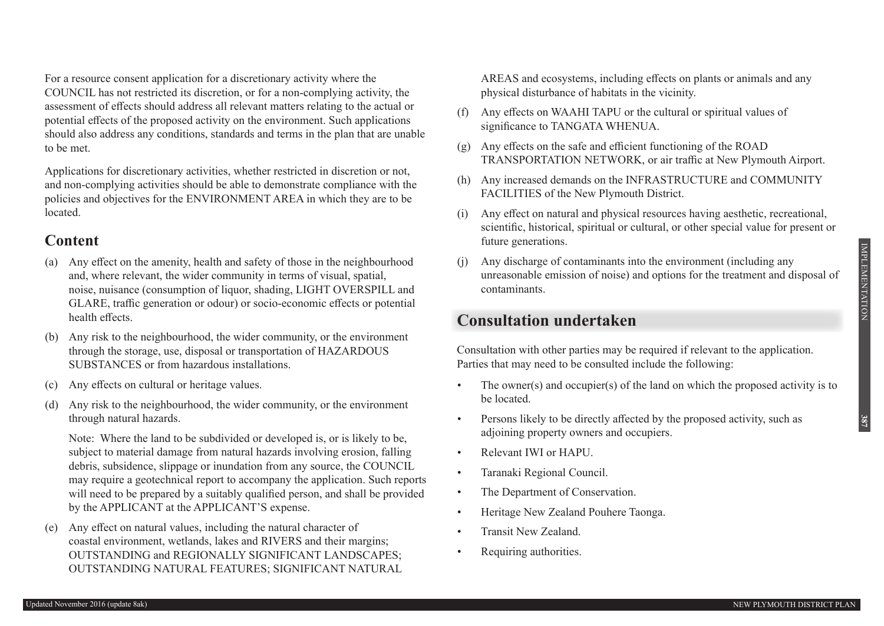**387**

For a resource consent application for a discretionary activity where the COUNCIL has not restricted its discretion, or for a non-complying activity, the assessment of effects should address all relevant matters relating to the actual or potential effects of the proposed activity on the environment. Such applications should also address any conditions, standards and terms in the plan that are unable to be met.

Applications for discretionary activities, whether restricted in discretion or not, and non-complying activities should be able to demonstrate compliance with the policies and objectives for the ENVIRONMENT AREA in which they are to be located.

### **Content**

- (a) Any effect on the amenity, health and safety of those in the neighbourhood and, where relevant, the wider community in terms of visual, spatial, noise, nuisance (consumption of liquor, shading, LIGHT OVERSPILL and GLARE, traffic generation or odour) or socio-economic effects or potential health effects.
- Any risk to the neighbourhood, the wider community, or the environment through the storage, use, disposal or transportation of HAZARDOUS SUBSTANCES or from hazardous installations.
- (c) Any effects on cultural or heritage values.
- (d) Any risk to the neighbourhood, the wider community, or the environment through natural hazards.

 Note: Where the land to be subdivided or developed is, or is likely to be, subject to material damage from natural hazards involving erosion, falling debris, subsidence, slippage or inundation from any source, the COUNCIL may require a geotechnical report to accompany the application. Such reports will need to be prepared by a suitably qualified person, and shall be provided by the APPLICANT at the APPLICANT'S expense.

(e) Any effect on natural values, including the natural character of coastal environment, wetlands, lakes and RIVERS and their margins; OUTSTANDING and REGIONALLY SIGNIFICANT LANDSCAPES; OUTSTANDING NATURAL FEATURES; SIGNIFICANT NATURAL AREAS and ecosystems, including effects on plants or animals and any physical disturbance of habitats in the vicinity.

- (f) Any effects on WAAHI TAPU or the cultural or spiritual values of significance to TANGATA WHENUA.
- $(g)$  Any effects on the safe and efficient functioning of the ROAD TRANSPORTATION NETWORK, or air traffic at New Plymouth Airport.
- (h) Any increased demands on the INFRASTRUCTURE and COMMUNITY FACILITIES of the New Plymouth District.
- (i) Any effect on natural and physical resources having aesthetic, recreational, scientific, historical, spiritual or cultural, or other special value for present or future generations.
- (j) Any discharge of contaminants into the environment (including any unreasonable emission of noise) and options for the treatment and disposal of contaminants.

# **Consultation undertaken**

Consultation with other parties may be required if relevant to the application. Parties that may need to be consulted include the following:

- The owner(s) and occupier(s) of the land on which the proposed activity is to be located.
- Persons likely to be directly affected by the proposed activity, such as adjoining property owners and occupiers.
- Relevant IWI or HAPU.
- Taranaki Regional Council.
- The Department of Conservation.
- Heritage New Zealand Pouhere Taonga.
- Transit New Zealand.
- Requiring authorities.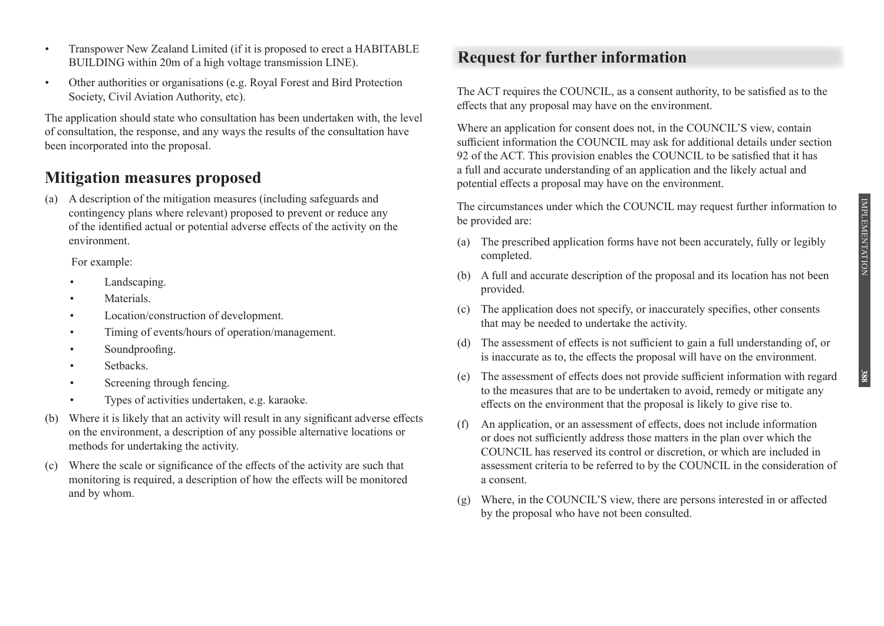- Transpower New Zealand Limited (if it is proposed to erect a HABITABLE BUILDING within 20m of a high voltage transmission LINE).
- Other authorities or organisations (e.g. Royal Forest and Bird Protection Society, Civil Aviation Authority, etc).

The application should state who consultation has been undertaken with, the level of consultation, the response, and any ways the results of the consultation have been incorporated into the proposal.

# **Mitigation measures proposed**

(a) A description of the mitigation measures (including safeguards and contingency plans where relevant) proposed to prevent or reduce any of the identified actual or potential adverse effects of the activity on the environment.

 For example:

- Landscaping.
- Materials.
- Location/construction of development.
- Timing of events/hours of operation/management.
- Soundproofing.
- Setbacks.
- Screening through fencing.
- • Types of activities undertaken, e.g. karaoke.
- (b) Where it is likely that an activity will result in any significant adverse effects on the environment, a description of any possible alternative locations or methods for undertaking the activity.
- (c) Where the scale or significance of the effects of the activity are such that monitoring is required, a description of how the effects will be monitored and by whom.

# **Request for further information**

The ACT requires the COUNCIL, as a consent authority, to be satisfied as to the effects that any proposal may have on the environment.

Where an application for consent does not, in the COUNCIL'S view, contain sufficient information the COUNCIL may ask for additional details under section 92 of the ACT. This provision enables the COUNCIL to be satisfied that it has a full and accurate understanding of an application and the likely actual and potential effects a proposal may have on the environment.

The circumstances under which the COUNCIL may request further information to be provided are:

- (a) The prescribed application forms have not been accurately, fully or legibly completed.
- (b) A full and accurate description of the proposal and its location has not been provided.
- (c) The application does not specify, or inaccurately specifies, other consents that may be needed to undertake the activity.
- (d) The assessment of effects is not sufficient to gain a full understanding of, or is inaccurate as to, the effects the proposal will have on the environment.
- (e) The assessment of effects does not provide sufficient information with regard to the measures that are to be undertaken to avoid, remedy or mitigate any effects on the environment that the proposal is likely to give rise to.
- (f) An application, or an assessment of effects, does not include information or does not sufficiently address those matters in the plan over which the COUNCIL has reserved its control or discretion, or which are included in assessment criteria to be referred to by the COUNCIL in the consideration of a consent.
- (g) Where, in the COUNCIL'S view, there are persons interested in or affected by the proposal who have not been consulted.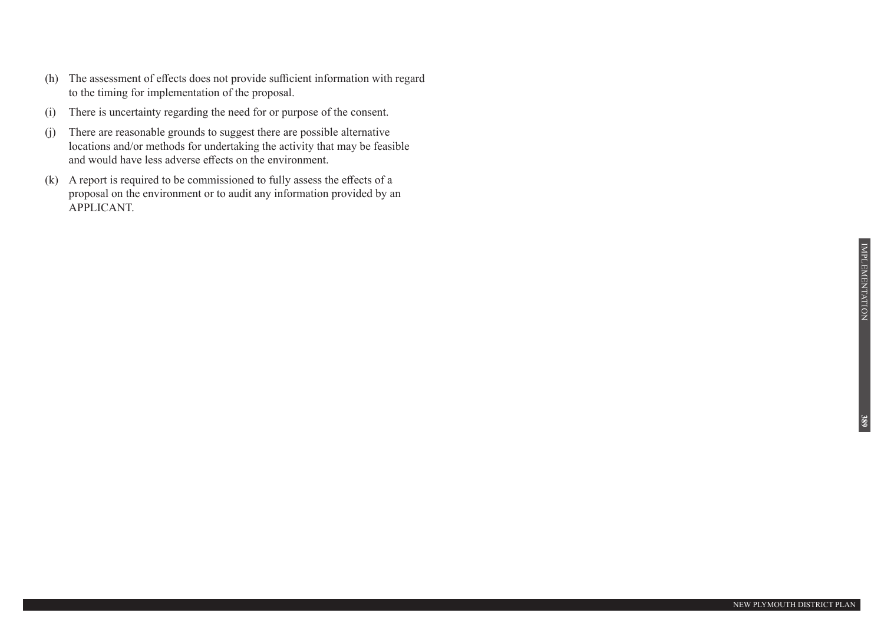- (h) The assessment of effects does not provide sufficient information with regard to the timing for implementation of the proposal.
- (i) There is uncertainty regarding the need for or purpose of the consent.
- (j) There are reasonable grounds to suggest there are possible alternative locations and/or methods for undertaking the activity that may be feasible and would have less adverse effects on the environment.
- (k) A report is required to be commissioned to fully assess the effects of a proposal on the environment or to audit any information provided by an APPLICANT.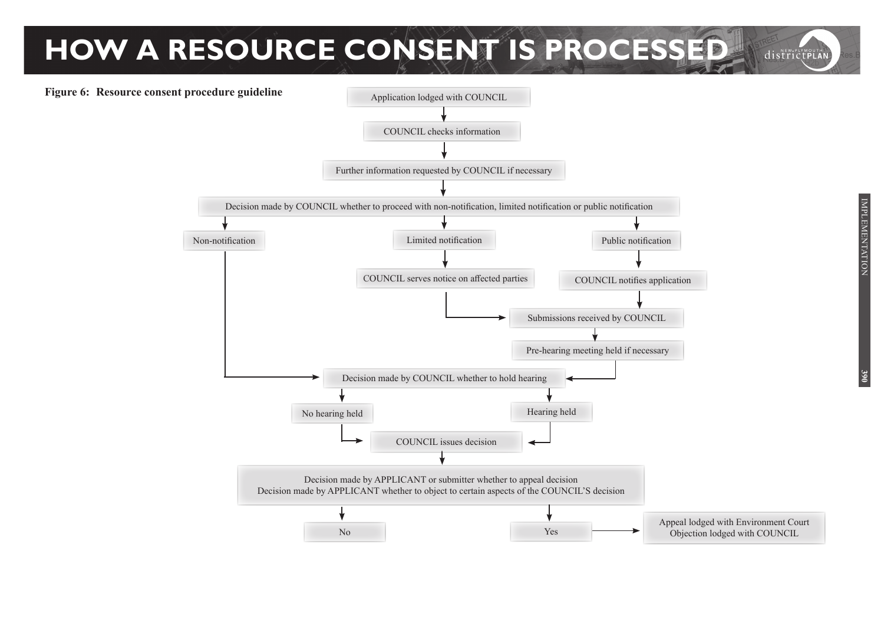# **HOW A RESOURCE CONSENT IS PROCESSED** districtPLAN

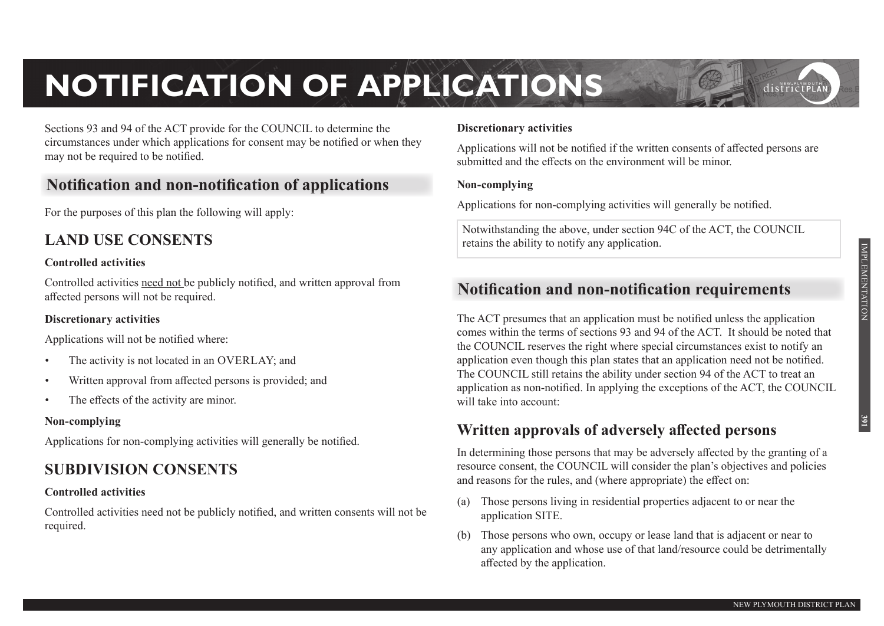# **NOTIFICATION OF APPLICATIONS**

Sections 93 and 94 of the ACT provide for the COUNCIL to determine the circumstances under which applications for consent may be notified or when they may not be required to be notified.

# **Notification and non-notification of applications**

For the purposes of this plan the following will apply:

# **LAND USE CONSENTS**

#### **Controlled activities**

Controlled activities need not be publicly notified, and written approval from affected persons will not be required.

#### **Discretionary activities**

Applications will not be notified where:

- The activity is not located in an OVERLAY; and
- Written approval from affected persons is provided; and
- The effects of the activity are minor.

#### **Non-complying**

Applications for non-complying activities will generally be notified.

# **SUBDIVISION CONSENTS**

#### **Controlled activities**

Controlled activities need not be publicly notified, and written consents will not be required.

#### **Discretionary activities**

Applications will not be notified if the written consents of affected persons are submitted and the effects on the environment will be minor.

#### **Non-complying**

Applications for non-complying activities will generally be notified.

Notwithstanding the above, under section 94C of the ACT, the COUNCIL retains the ability to notify any application.

# **Notification and non-notification requirements**

The ACT presumes that an application must be notified unless the application comes within the terms of sections 93 and 94 of the ACT. It should be noted that the COUNCIL reserves the right where special circumstances exist to notify an application even though this plan states that an application need not be notified. The COUNCIL still retains the ability under section 94 of the ACT to treat an application as non-notified. In applying the exceptions of the ACT, the COUNCIL will take into account:

# **Written approvals of adversely affected persons**

In determining those persons that may be adversely affected by the granting of a resource consent, the COUNCIL will consider the plan's objectives and policies and reasons for the rules, and (where appropriate) the effect on:

- (a) Those persons living in residential properties adjacent to or near the application SITE.
- (b) Those persons who own, occupy or lease land that is adjacent or near to any application and whose use of that land/resource could be detrimentally affected by the application.

IMPLEMENTATION

**IMPLEMENTATION** 

districtPLA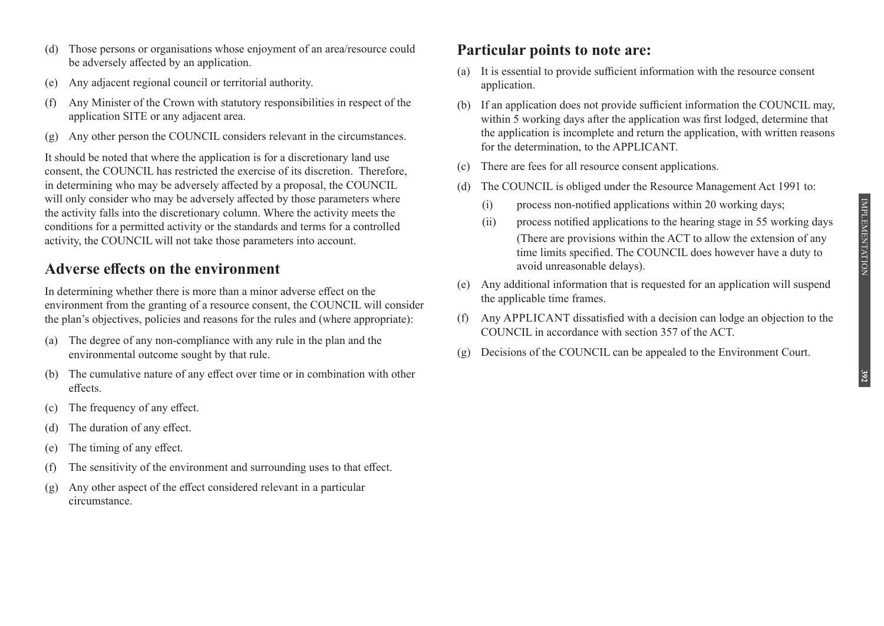- (e) Any adjacent regional council or territorial authority.
- (f) Any Minister of the Crown with statutory responsibilities in respect of the application SITE or any adjacent area.
- (g) Any other person the COUNCIL considers relevant in the circumstances.

It should be noted that where the application is for a discretionary land use consent, the COUNCIL has restricted the exercise of its discretion. Therefore, in determining who may be adversely affected by a proposal, the COUNCIL will only consider who may be adversely affected by those parameters where the activity falls into the discretionary column. Where the activity meets the conditions for a permitted activity or the standards and terms for a controlled activity, the COUNCIL will not take those parameters into account.

# **Adverse effects on the environment**

In determining whether there is more than a minor adverse effect on the environment from the granting of a resource consent, the COUNCIL will consider the plan's objectives, policies and reasons for the rules and (where appropriate):

- (a) The degree of any non-compliance with any rule in the plan and the environmental outcome sought by that rule.
- (b) The cumulative nature of any effect over time or in combination with other effects.
- (c) The frequency of any effect.
- (d) The duration of any effect.
- (e) The timing of any effect.
- (f) The sensitivity of the environment and surrounding uses to that effect.
- $(g)$  Any other aspect of the effect considered relevant in a particular circumstance.

# **Particular points to note are:**

- (a) It is essential to provide sufficient information with the resource consent application.
- (b) If an application does not provide sufficient information the COUNCIL may, within 5 working days after the application was first lodged, determine that the application is incomplete and return the application, with written reasons for the determination, to the APPLICANT.
- (c) There are fees for all resource consent applications.
- (d) The COUNCIL is obliged under the Resource Management Act 1991 to:
	- $(i)$  process non-notified applications within 20 working days;
	- (ii) process notified applications to the hearing stage in 55 working days (There are provisions within the ACT to allow the extension of any time limits specified. The COUNCIL does however have a duty to avoid unreasonable delays).
- (e) Any additional information that is requested for an application will suspend the applicable time frames.
- (f) Any APPLICANT dissatisfied with a decision can lodge an objection to the COUNCIL in accordance with section 357 of the ACT.
- (g) Decisions of the COUNCIL can be appealed to the Environment Court.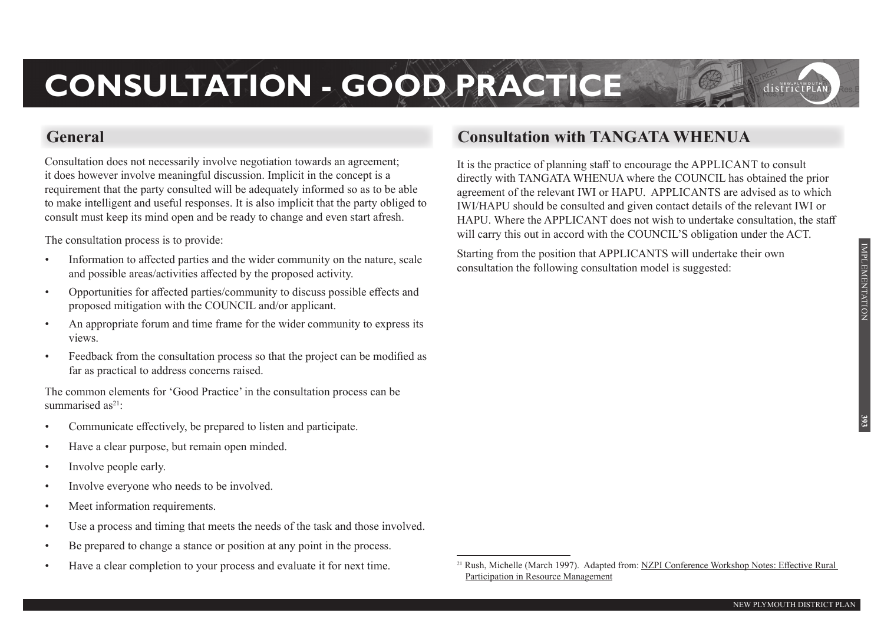# **CONSULTATION - GOOD PRACTICE**

Consultation does not necessarily involve negotiation towards an agreement; it does however involve meaningful discussion. Implicit in the concept is a requirement that the party consulted will be adequately informed so as to be able to make intelligent and useful responses. It is also implicit that the party obliged to consult must keep its mind open and be ready to change and even start afresh.

The consultation process is to provide:

- Information to affected parties and the wider community on the nature, scale and possible areas/activities affected by the proposed activity.
- • Opportunities for affected parties/community to discuss possible effects and proposed mitigation with the COUNCIL and/or applicant.
- An appropriate forum and time frame for the wider community to express its views.
- Feedback from the consultation process so that the project can be modified as far as practical to address concerns raised.

The common elements for 'Good Practice' in the consultation process can be summarised  $as^{21}$ .

- Communicate effectively, be prepared to listen and participate.
- Have a clear purpose, but remain open minded.
- Involve people early.
- Involve everyone who needs to be involved.
- Meet information requirements.
- Use a process and timing that meets the needs of the task and those involved.
- Be prepared to change a stance or position at any point in the process.
- Have a clear completion to your process and evaluate it for next time.

# **General Consultation with TANGATA WHENUA**

It is the practice of planning staff to encourage the APPLICANT to consult directly with TANGATA WHENUA where the COUNCIL has obtained the prior agreement of the relevant IWI or HAPU. APPLICANTS are advised as to which IWI/HAPU should be consulted and given contact details of the relevant IWI or HAPU. Where the APPLICANT does not wish to undertake consultation, the staff will carry this out in accord with the COUNCIL'S obligation under the ACT.

Starting from the position that APPLICANTS will undertake their own consultation the following consultation model is suggested:

 $\overline{a}$ 

districtPLA

<sup>21</sup> Rush, Michelle (March 1997). Adapted from: NZPI Conference Workshop Notes: Effective Rural Participation in Resource Management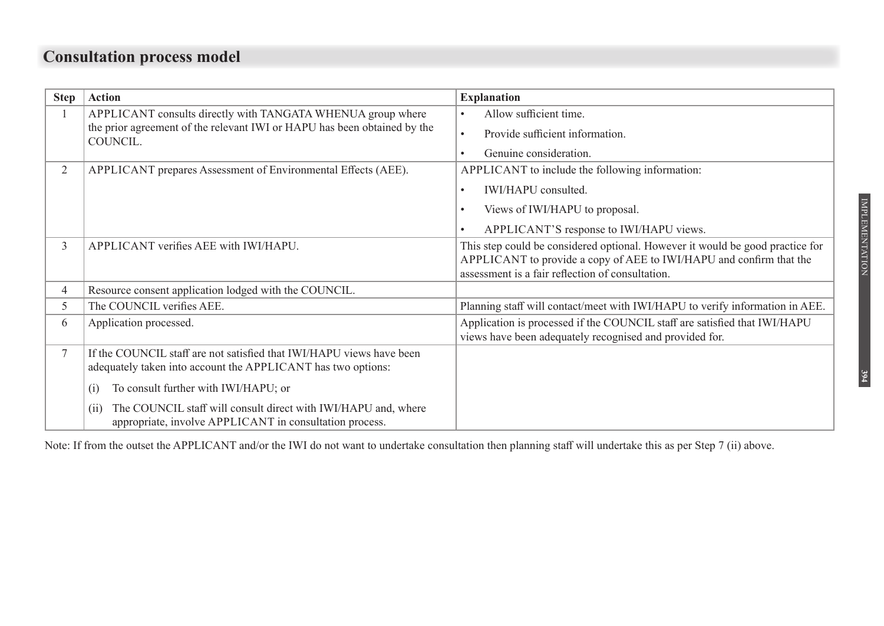# **Consultation process model**

| <b>Step</b>    | <b>Action</b>                                                                                                                                                                                                                                                                                                                          | <b>Explanation</b>                                                                                                                                                                                       |
|----------------|----------------------------------------------------------------------------------------------------------------------------------------------------------------------------------------------------------------------------------------------------------------------------------------------------------------------------------------|----------------------------------------------------------------------------------------------------------------------------------------------------------------------------------------------------------|
|                | APPLICANT consults directly with TANGATA WHENUA group where<br>the prior agreement of the relevant IWI or HAPU has been obtained by the<br>COUNCIL.                                                                                                                                                                                    | Allow sufficient time.<br>$\bullet$<br>Provide sufficient information.<br>$\bullet$<br>Genuine consideration.<br>$\bullet$                                                                               |
| $\overline{2}$ | APPLICANT prepares Assessment of Environmental Effects (AEE).                                                                                                                                                                                                                                                                          | APPLICANT to include the following information:<br>IWI/HAPU consulted.<br>$\bullet$<br>Views of IWI/HAPU to proposal.<br>$\bullet$<br>APPLICANT'S response to IWI/HAPU views.                            |
| $\mathfrak{Z}$ | APPLICANT verifies AEE with IWI/HAPU.                                                                                                                                                                                                                                                                                                  | This step could be considered optional. However it would be good practice for<br>APPLICANT to provide a copy of AEE to IWI/HAPU and confirm that the<br>assessment is a fair reflection of consultation. |
| 4              | Resource consent application lodged with the COUNCIL.                                                                                                                                                                                                                                                                                  |                                                                                                                                                                                                          |
| 5              | The COUNCIL verifies AEE.                                                                                                                                                                                                                                                                                                              | Planning staff will contact/meet with IWI/HAPU to verify information in AEE.                                                                                                                             |
| 6              | Application processed.                                                                                                                                                                                                                                                                                                                 | Application is processed if the COUNCIL staff are satisfied that IWI/HAPU<br>views have been adequately recognised and provided for.                                                                     |
|                | If the COUNCIL staff are not satisfied that IWI/HAPU views have been<br>adequately taken into account the APPLICANT has two options:<br>To consult further with IWI/HAPU; or<br>$\left( 1\right)$<br>The COUNCIL staff will consult direct with IWI/HAPU and, where<br>(11)<br>appropriate, involve APPLICANT in consultation process. |                                                                                                                                                                                                          |

Note: If from the outset the APPLICANT and/or the IWI do not want to undertake consultation then planning staff will undertake this as per Step 7 (ii) above.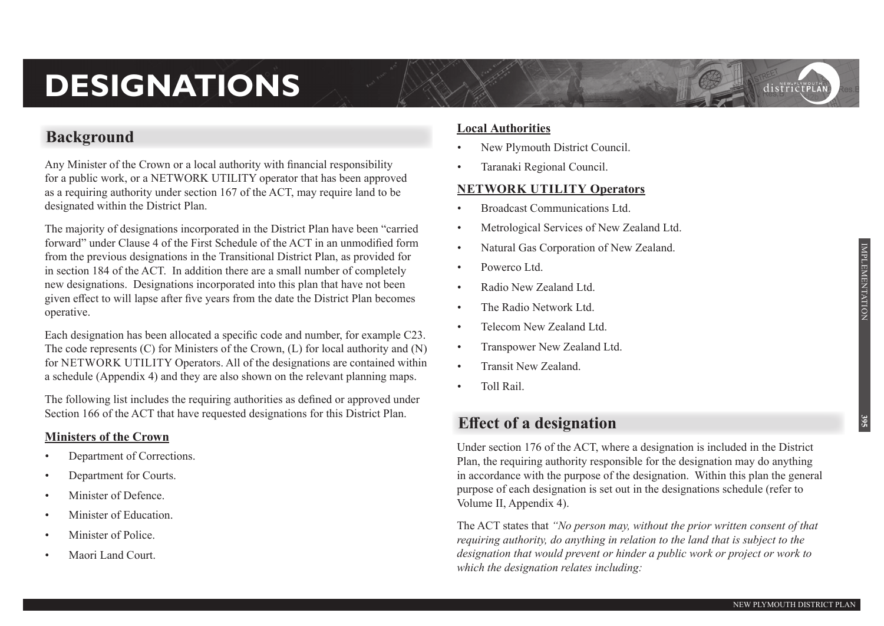# **DESIGNATIONS**

# **Background**

Any Minister of the Crown or a local authority with financial responsibility for a public work, or a NETWORK UTILITY operator that has been approved as a requiring authority under section 167 of the ACT, may require land to be designated within the District Plan.

The majority of designations incorporated in the District Plan have been "carried forward" under Clause 4 of the First Schedule of the ACT in an unmodified form from the previous designations in the Transitional District Plan, as provided for in section 184 of the ACT. In addition there are a small number of completely new designations. Designations incorporated into this plan that have not been given effect to will lapse after five years from the date the District Plan becomes operative.

Each designation has been allocated a specific code and number, for example C23. The code represents (C) for Ministers of the Crown, (L) for local authority and (N) for NETWORK UTILITY Operators. All of the designations are contained within a schedule (Appendix 4) and they are also shown on the relevant planning maps.

The following list includes the requiring authorities as defined or approved under Section 166 of the ACT that have requested designations for this District Plan.

#### **Ministers of the Crown**

- Department of Corrections.
- Department for Courts.
- Minister of Defence.
- Minister of Education.
- Minister of Police.
- Maori Land Court.

#### **Local Authorities**

- New Plymouth District Council.
- Taranaki Regional Council.

#### **NETWORK UTILITY Operators**

- Broadcast Communications Ltd.
- Metrological Services of New Zealand Ltd.
- Natural Gas Corporation of New Zealand.
- Powerco Ltd.
- Radio New Zealand Ltd.
- The Radio Network Ltd.
- Telecom New Zealand Ltd.
- Transpower New Zealand Ltd.
- Transit New Zealand.
- Toll Rail

# **Effect of a designation**

Under section 176 of the ACT, where a designation is included in the District Plan, the requiring authority responsible for the designation may do anything in accordance with the purpose of the designation. Within this plan the general purpose of each designation is set out in the designations schedule (refer to Volume II, Appendix 4).

The ACT states that *"No person may, without the prior written consent of that requiring authority, do anything in relation to the land that is subject to the designation that would prevent or hinder a public work or project or work to which the designation relates including:*

districtPLA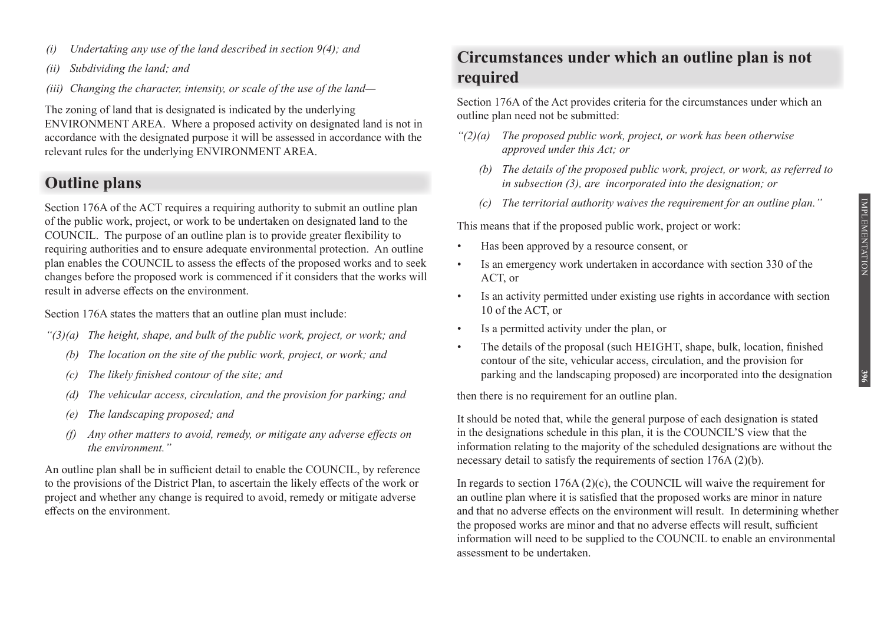- *(i) Undertaking any use of the land described in section 9(4); and*
- *(ii) Subdividing the land; and*
- *(iii) Changing the character, intensity, or scale of the use of the land—*

The zoning of land that is designated is indicated by the underlying ENVIRONMENT AREA. Where a proposed activity on designated land is not in accordance with the designated purpose it will be assessed in accordance with the relevant rules for the underlying ENVIRONMENT AREA.

# **Outline plans**

Section 176A of the ACT requires a requiring authority to submit an outline plan of the public work, project, or work to be undertaken on designated land to the COUNCIL. The purpose of an outline plan is to provide greater flexibility to requiring authorities and to ensure adequate environmental protection. An outline plan enables the COUNCIL to assess the effects of the proposed works and to seek changes before the proposed work is commenced if it considers that the works will result in adverse effects on the environment.

Section 176A states the matters that an outline plan must include:

- *"(3)(a) The height, shape, and bulk of the public work, project, or work; and*
	- *(b) The location on the site of the public work, project, or work; and*
	- *(c) The likely finished contour of the site; and*
	- *(d) The vehicular access, circulation, and the provision for parking; and*
	- *(e) The landscaping proposed; and*
	- *(f) Any other matters to avoid, remedy, or mitigate any adverse effects on the environment."*

An outline plan shall be in sufficient detail to enable the COUNCIL, by reference to the provisions of the District Plan, to ascertain the likely effects of the work or project and whether any change is required to avoid, remedy or mitigate adverse effects on the environment.

# **Circumstances under which an outline plan is not required**

Section 176A of the Act provides criteria for the circumstances under which an outline plan need not be submitted:

- *"(2)(a) The proposed public work, project, or work has been otherwise approved under this Act; or*
	- *(b) The details of the proposed public work, project, or work, as referred to in subsection (3), are incorporated into the designation; or*
	- *(c) The territorial authority waives the requirement for an outline plan."*

This means that if the proposed public work, project or work:

- Has been approved by a resource consent, or
- Is an emergency work undertaken in accordance with section 330 of the ACT, or
- Is an activity permitted under existing use rights in accordance with section 10 of the ACT, or
- Is a permitted activity under the plan, or
- The details of the proposal (such HEIGHT, shape, bulk, location, finished contour of the site, vehicular access, circulation, and the provision for parking and the landscaping proposed) are incorporated into the designation

then there is no requirement for an outline plan.

It should be noted that, while the general purpose of each designation is stated in the designations schedule in this plan, it is the COUNCIL'S view that the information relating to the majority of the scheduled designations are without the necessary detail to satisfy the requirements of section 176A (2)(b).

In regards to section  $176A(2)(c)$ , the COUNCIL will waive the requirement for an outline plan where it is satisfied that the proposed works are minor in nature and that no adverse effects on the environment will result. In determining whether the proposed works are minor and that no adverse effects will result, sufficient information will need to be supplied to the COUNCIL to enable an environmental assessment to be undertaken.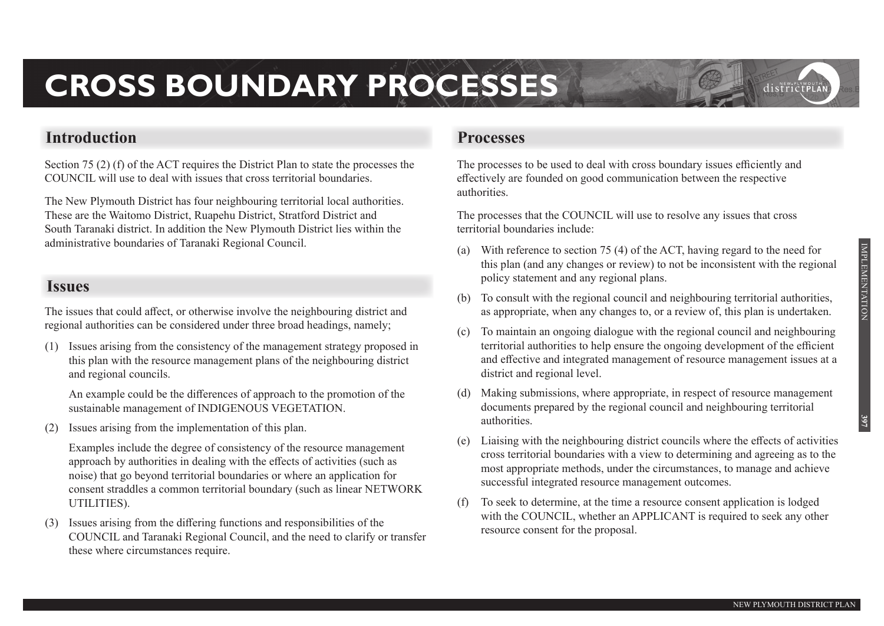districtpla

# **CROSS BOUNDARY PROCESSES**

# **Introduction**

Section 75 (2) (f) of the ACT requires the District Plan to state the processes the COUNCIL will use to deal with issues that cross territorial boundaries.

The New Plymouth District has four neighbouring territorial local authorities. These are the Waitomo District, Ruapehu District, Stratford District and South Taranaki district. In addition the New Plymouth District lies within the administrative boundaries of Taranaki Regional Council.

# **Issues**

The issues that could affect, or otherwise involve the neighbouring district and regional authorities can be considered under three broad headings, namely;

(1) Issues arising from the consistency of the management strategy proposed in this plan with the resource management plans of the neighbouring district and regional councils.

 An example could be the differences of approach to the promotion of the sustainable management of INDIGENOUS VEGETATION.

(2) Issues arising from the implementation of this plan.

 Examples include the degree of consistency of the resource management approach by authorities in dealing with the effects of activities (such as noise) that go beyond territorial boundaries or where an application for consent straddles a common territorial boundary (such as linear NETWORK UTILITIES).

(3) Issues arising from the differing functions and responsibilities of the COUNCIL and Taranaki Regional Council, and the need to clarify or transfer these where circumstances require.

# **Processes**

The processes to be used to deal with cross boundary issues efficiently and effectively are founded on good communication between the respective authorities.

The processes that the COUNCIL will use to resolve any issues that cross territorial boundaries include:

- (a) With reference to section 75 (4) of the ACT, having regard to the need for this plan (and any changes or review) to not be inconsistent with the regional policy statement and any regional plans.
- (b) To consult with the regional council and neighbouring territorial authorities, as appropriate, when any changes to, or a review of, this plan is undertaken.
- (c) To maintain an ongoing dialogue with the regional council and neighbouring territorial authorities to help ensure the ongoing development of the efficient and effective and integrated management of resource management issues at a district and regional level.
- (d) Making submissions, where appropriate, in respect of resource management documents prepared by the regional council and neighbouring territorial authorities.
- (e) Liaising with the neighbouring district councils where the effects of activities cross territorial boundaries with a view to determining and agreeing as to the most appropriate methods, under the circumstances, to manage and achieve successful integrated resource management outcomes.
- (f) To seek to determine, at the time a resource consent application is lodged with the COUNCIL, whether an APPLICANT is required to seek any other resource consent for the proposal.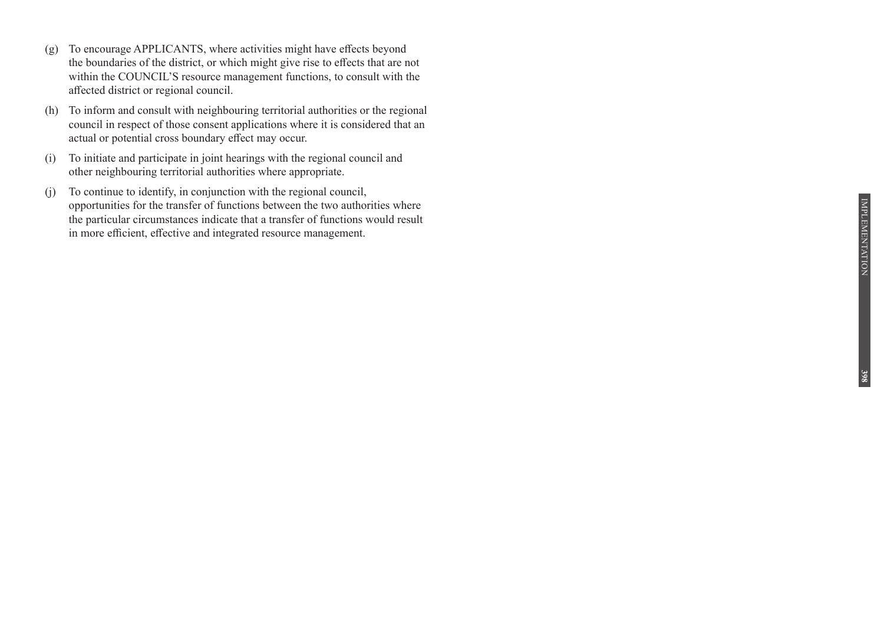- (g) To encourage APPLICANTS, where activities might have effects beyond the boundaries of the district, or which might give rise to effects that are not within the COUNCIL'S resource management functions, to consult with the affected district or regional council.
- (h) To inform and consult with neighbouring territorial authorities or the regional council in respect of those consent applications where it is considered that an actual or potential cross boundary effect may occur.
- (i) To initiate and participate in joint hearings with the regional council and other neighbouring territorial authorities where appropriate.
- $(i)$  To continue to identify, in conjunction with the regional council, opportunities for the transfer of functions between the two authorities where the particular circumstances indicate that a transfer of functions would result in more efficient, effective and integrated resource management.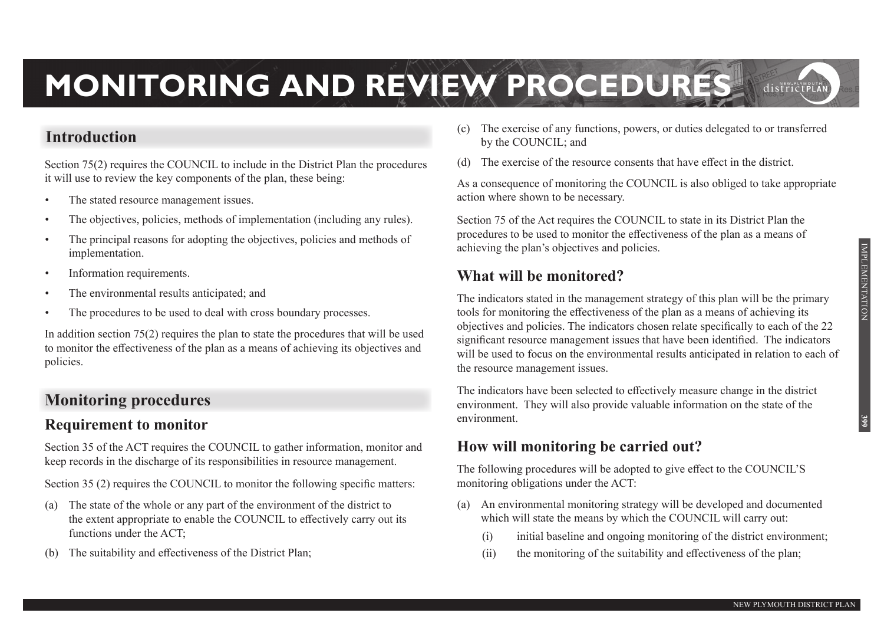# **MONITORING AND REVIEW PROCEDURES**  districtPLAI

# **Introduction**

Section 75(2) requires the COUNCIL to include in the District Plan the procedures it will use to review the key components of the plan, these being:

- The stated resource management issues.
- The objectives, policies, methods of implementation (including any rules).
- The principal reasons for adopting the objectives, policies and methods of implementation.
- Information requirements.
- The environmental results anticipated; and
- The procedures to be used to deal with cross boundary processes.

In addition section  $75(2)$  requires the plan to state the procedures that will be used to monitor the effectiveness of the plan as a means of achieving its objectives and policies.

# **Monitoring procedures**

# **Requirement to monitor**

Section 35 of the ACT requires the COUNCIL to gather information, monitor and keep records in the discharge of its responsibilities in resource management.

Section 35 (2) requires the COUNCIL to monitor the following specific matters:

- (a) The state of the whole or any part of the environment of the district to the extent appropriate to enable the COUNCIL to effectively carry out its functions under the ACT;
- The suitability and effectiveness of the District Plan:
- (c) The exercise of any functions, powers, or duties delegated to or transferred by the COUNCIL; and
- (d) The exercise of the resource consents that have effect in the district.

As a consequence of monitoring the COUNCIL is also obliged to take appropriate action where shown to be necessary.

Section 75 of the Act requires the COUNCIL to state in its District Plan the procedures to be used to monitor the effectiveness of the plan as a means of achieving the plan's objectives and policies.

# **What will be monitored?**

The indicators stated in the management strategy of this plan will be the primary tools for monitoring the effectiveness of the plan as a means of achieving its objectives and policies. The indicators chosen relate specifically to each of the 22 significant resource management issues that have been identified. The indicators will be used to focus on the environmental results anticipated in relation to each of the resource management issues.

The indicators have been selected to effectively measure change in the district environment. They will also provide valuable information on the state of the environment.

# **How will monitoring be carried out?**

The following procedures will be adopted to give effect to the COUNCIL'S monitoring obligations under the ACT:

- (a) An environmental monitoring strategy will be developed and documented which will state the means by which the COUNCIL will carry out:
	- (i) initial baseline and ongoing monitoring of the district environment;
	- (ii) the monitoring of the suitability and effectiveness of the plan;